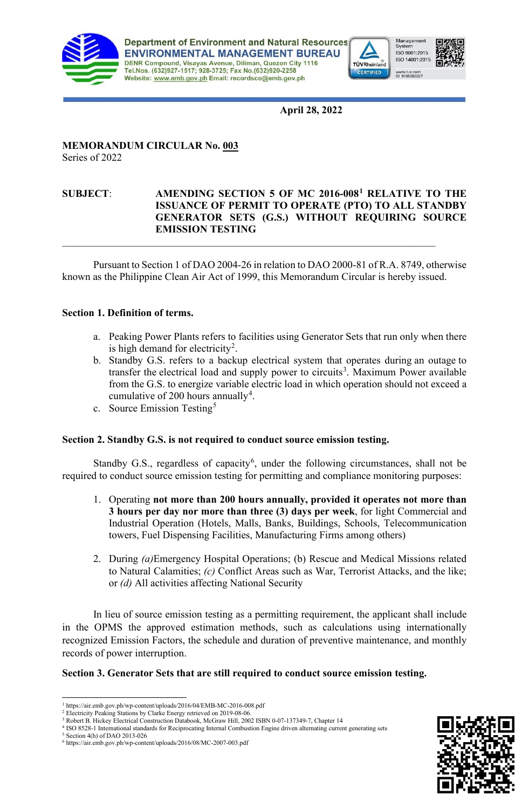

**Department of Environment and Natural Resources ENVIRONMENTAL MANAGEMENT BUREAU** DENR Compound, Visayas Avenue, Diliman, Quezon City 1116<br>Tel.Nos. (632)927-1517; 928-3725; Fax No. (632)920-2258 Website: www.emb.gov.ph Email: recordsco@emb.gov.ph





**April 28, 2022**

#### **MEMORANDUM CIRCULAR No. 003** Series of 2022

### **SUBJECT**: **AMENDING SECTION 5 OF MC 2016-008[1](#page-0-0) RELATIVE TO THE ISSUANCE OF PERMIT TO OPERATE (PTO) TO ALL STANDBY GENERATOR SETS (G.S.) WITHOUT REQUIRING SOURCE EMISSION TESTING**

Pursuant to Section 1 of DAO 2004-26 in relation to DAO 2000-81 of R.A. 8749, otherwise known as the Philippine Clean Air Act of 1999, this Memorandum Circular is hereby issued.

 $\mathcal{L}_\text{max} = \mathcal{L}_\text{max} = \mathcal{L}_\text{max} = \mathcal{L}_\text{max} = \mathcal{L}_\text{max} = \mathcal{L}_\text{max} = \mathcal{L}_\text{max} = \mathcal{L}_\text{max} = \mathcal{L}_\text{max} = \mathcal{L}_\text{max} = \mathcal{L}_\text{max} = \mathcal{L}_\text{max} = \mathcal{L}_\text{max} = \mathcal{L}_\text{max} = \mathcal{L}_\text{max} = \mathcal{L}_\text{max} = \mathcal{L}_\text{max} = \mathcal{L}_\text{max} = \mathcal{$ 

# **Section 1. Definition of terms.**

- a. Peaking Power Plants refers to facilities using Generator Sets that run only when there is high demand for electricity<sup>[2](#page-0-1)</sup>.
- b. Standby G.S. refers to a backup electrical system that operates during an [outage](https://en.wikipedia.org/wiki/Power_outage) to transfer the [electrical load](https://en.wikipedia.org/wiki/Electrical_load) and supply power to circuits<sup>[3](#page-0-2)</sup>. Maximum Power available from the G.S. to energize variable electric load in which operation should not exceed a cumulative of 200 hours annually<sup>[4](#page-0-3)</sup>.
- c. Source Emission Testing<sup>[5](#page-0-4)</sup>

# **Section 2. Standby G.S. is not required to conduct source emission testing.**

Standby G.S., regardless of capacity<sup>[6](#page-0-5)</sup>, under the following circumstances, shall not be required to conduct source emission testing for permitting and compliance monitoring purposes:

- 1. Operating **not more than 200 hours annually, provided it operates not more than 3 hours per day nor more than three (3) days per week**, for light Commercial and Industrial Operation (Hotels, Malls, Banks, Buildings, Schools, Telecommunication towers, Fuel Dispensing Facilities, Manufacturing Firms among others)
- 2. During *(a)*Emergency Hospital Operations; (b) Rescue and Medical Missions related to Natural Calamities; *(c)* Conflict Areas such as War, Terrorist Attacks, and the like; or *(d)* All activities affecting National Security

In lieu of source emission testing as a permitting requirement, the applicant shall include in the OPMS the approved estimation methods, such as calculations using internationally recognized Emission Factors, the schedule and duration of preventive maintenance, and monthly records of power interruption.

#### **Section 3. Generator Sets that are still required to conduct source emission testing.**



<span id="page-0-0"></span><sup>1</sup> https://air.emb.gov.ph/wp-content/uploads/2016/04/EMB-MC-2016-008.pdf

<sup>&</sup>lt;sup>2</sup> Electricity Peaking Stations by Clarke Energy retrieved on 2019-08-06.

<span id="page-0-3"></span><span id="page-0-2"></span><span id="page-0-1"></span><sup>3</sup> Robert B. Hickey Electrical Construction Databook, McGraw Hill, 2002 [ISBN](https://en.wikipedia.org/wiki/ISBN_(identifier)) [0-07-137349-7,](https://en.wikipedia.org/wiki/Special:BookSources/0-07-137349-7) Chapter 14 <sup>4</sup> ISO 8528-1 International standards for Reciprocating Internal Combustion Engine driven alternating current generating sets

<span id="page-0-4"></span><sup>5</sup> Section 4(h) of DAO 2013-026

<span id="page-0-5"></span> $^6$ https://air.emb.gov.ph/wp-content/uploads/2016/08/MC-2007-003.pdf